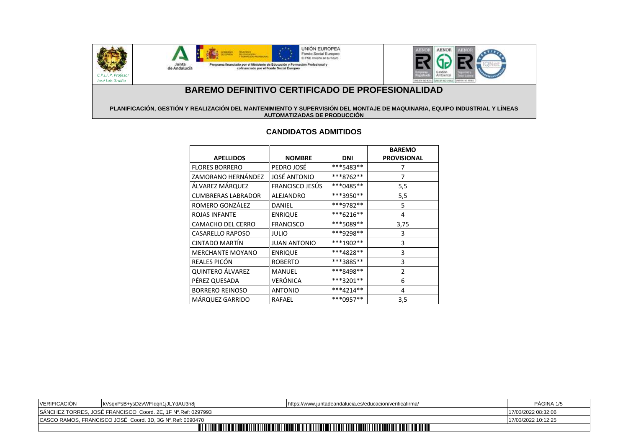

C.P.I.F.P. Profeso  *José Luis Graiño*



# **BAREMO DEFINITIVO CERTIFICADO DE PROFESIONALIDAD**

#### **PLANIFICACIÓN, GESTIÓN Y REALIZACIÓN DEL MANTENIMIENTO Y SUPERVISIÓN DEL MONTAJE DE MAQUINARIA, EQUIPO INDUSTRIAL Y LÍNEAS AUTOMATIZADAS DE PRODUCCIÓN**

## **CANDIDATOS ADMITIDOS**

| <b>APELLIDOS</b>          | <b>NOMBRE</b>       | DNI         | <b>BAREMO</b><br><b>PROVISIONAL</b> |
|---------------------------|---------------------|-------------|-------------------------------------|
| <b>FLORES BORRERO</b>     | PEDRO JOSÉ          | ***5483**   | 7                                   |
| ZAMORANO HERNÁNDEZ        | <b>JOSÉ ANTONIO</b> | ***8762**   | 7                                   |
| ÁLVAREZ MÁRQUEZ           | FRANCISCO JESÚS     | ***0485**   | 5,5                                 |
| <b>CUMBRERAS LABRADOR</b> | ALEJANDRO           | ***3950**   | 5,5                                 |
| ROMERO GONZÁLEZ           | DANIEL              | ***9782**   | 5                                   |
| ROJAS INFANTE             | <b>ENRIQUE</b>      | ***6216**   | 4                                   |
| CAMACHO DEL CERRO         | <b>FRANCISCO</b>    | ***5089**   | 3,75                                |
| CASARELLO RAPOSO          | JULIO               | ***9298**   | 3                                   |
| CINTADO MARTÍN            | <b>JUAN ANTONIO</b> | ***1902**   | 3                                   |
| <b>MERCHANTE MOYANO</b>   | <b>ENRIQUE</b>      | ***4828**   | 3                                   |
| REALES PICÓN              | <b>ROBERTO</b>      | ***3885**   | 3                                   |
| QUINTERO ÁLVAREZ          | <b>MANUEL</b>       | ***8498**   | 2                                   |
| PÉREZ QUESADA             | VERÓNICA            | $***3201**$ | 6                                   |
| <b>BORRERO REINOSO</b>    | <b>ANTONIO</b>      | $***4214**$ | 4                                   |
| MÁRQUEZ GARRIDO           | RAFAEL              | ***0957**   | 3,5                                 |

| VERIFICACIÓN                                                                                                    | kVsgxPsB+ysDzvWFlggn1jJLYdAU3n8j | https://www.juntadeandalucia.es/educacion/verificafirma/ | PÁGINA 1/5          |
|-----------------------------------------------------------------------------------------------------------------|----------------------------------|----------------------------------------------------------|---------------------|
| SÁNCHEZ TORRES, JOSÉ FRANCISCO Coord. 2E, 1F Nº.Ref: 0297993                                                    |                                  |                                                          | 17/03/2022 08:32:06 |
| CASCO RAMOS, FRANCISCO JOSÉ Coord. 3D, 3G Nº.Ref: 0090470                                                       |                                  |                                                          | 17/03/2022 10:12:25 |
| <b>TITLE III III EI TITLE III</b><br><u> HIII II II III III II</u><br><u>Tili til tenti til nu etti l</u><br>ПШ |                                  |                                                          |                     |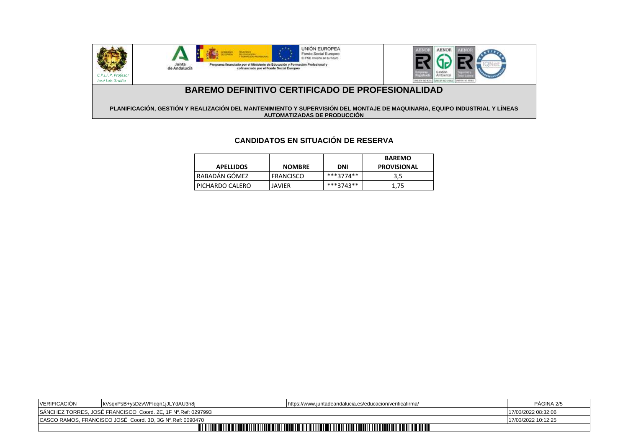

#### **PLANIFICACIÓN, GESTIÓN Y REALIZACIÓN DEL MANTENIMIENTO Y SUPERVISIÓN DEL MONTAJE DE MAQUINARIA, EQUIPO INDUSTRIAL Y LÍNEAS AUTOMATIZADAS DE PRODUCCIÓN**

# **CANDIDATOS EN SITUACIÓN DE RESERVA**

| <b>APELLIDOS</b> | <b>NOMBRE</b>    | DNI       | <b>BAREMO</b><br><b>PROVISIONAL</b> |
|------------------|------------------|-----------|-------------------------------------|
| RABADÁN GÓMEZ    | <b>FRANCISCO</b> | ***3774** | 3,5                                 |
| PICHARDO CALERO  | JAVIER           | ***3743** | 1.75                                |

| VERIFICACIÓN                                                                           | kVsgxPsB+ysDzvWFlggn1jJLYdAU3n8j | https://www.juntadeandalucia.es/educacion/verificafirma/ | PAGINA 2/5          |
|----------------------------------------------------------------------------------------|----------------------------------|----------------------------------------------------------|---------------------|
| SANCHEZ TORRES, JOSÉ FRANCISCO Coord. 2E, 1F Nº.Ref: 0297993                           |                                  |                                                          | 17/03/2022 08:32:06 |
| CASCO RAMOS, FRANCISCO JOSÉ Coord. 3D, 3G Nº.Ref: 0090470                              |                                  |                                                          | 17/03/2022 10:12:25 |
| <b>TITULI</b><br><u>MATIN ANTIHITI MATINI T</u><br>TITII<br><b>LINI LINI LINI LINI</b> |                                  |                                                          |                     |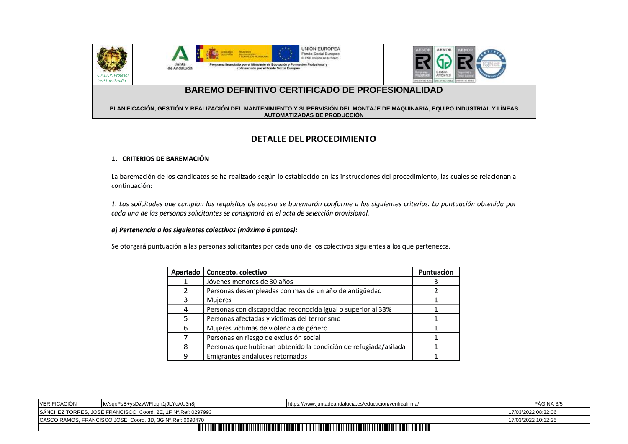







## **BAREMO DEFINITIVO CERTIFICADO DE PROFESIONALIDAD**

### **PLANIFICACIÓN, GESTIÓN Y REALIZACIÓN DEL MANTENIMIENTO Y SUPERVISIÓN DEL MONTAJE DE MAQUINARIA, EQUIPO INDUSTRIAL Y LÍNEAS AUTOMATIZADAS DE PRODUCCIÓN**

## **DETALLE DEL PROCEDIMIENTO**

### 1. CRITERIOS DE BAREMACIÓN

La baremación de los candidatos se ha realizado según lo establecido en las instrucciones del procedimiento, las cuales se relacionan a continuación:

1. Las solicitudes que cumplan los requisitos de acceso se baremarán conforme a los siguientes criterios. La puntuación obtenida por cada una de las personas solicitantes se consignará en el acta de selección provisional.

### a) Pertenencia a los siguientes colectivos (máximo 6 puntos):

Se otorgará puntuación a las personas solicitantes por cada uno de los colectivos siguientes a los que pertenezca.

| Apartado | Concepto, colectivo                                              | Puntuación |
|----------|------------------------------------------------------------------|------------|
|          | Jóvenes menores de 30 años                                       |            |
|          | Personas desempleadas con más de un año de antigüedad            |            |
| 3        | Mujeres                                                          |            |
| 4        | Personas con discapacidad reconocida igual o superior al 33%     |            |
| 5        | Personas afectadas y víctimas del terrorismo                     |            |
| 6        | Mujeres víctimas de violencia de género                          |            |
|          | Personas en riesgo de exclusión social                           |            |
| 8        | Personas que hubieran obtenido la condición de refugiada/asilada |            |
| q        | Emigrantes andaluces retornados                                  |            |

| <b>VERIFICACIÓN</b>                                                                                                          | kVsgxPsB+ysDzvWFlggn1jJLYdAU3n8j | https://www.juntadeandalucia.es/educacion/verificafirma/ | PAGINA 3/5          |
|------------------------------------------------------------------------------------------------------------------------------|----------------------------------|----------------------------------------------------------|---------------------|
| SANCHEZ TORRES, JOSE FRANCISCO Coord. 2E, 1F Nº Ref: 0297993                                                                 |                                  |                                                          | 17/03/2022 08:32:06 |
| CASCO RAMOS, FRANCISCO JOSÉ Coord. 3D, 3G Nº.Ref: 0090470<br>17/03/2022 10:12:25                                             |                                  |                                                          |                     |
| <b>TITLE IN THE T</b><br>II IIII I III IIII<br><b>TITUL III</b><br><u>TIILII ILI TIILII IL</u><br>              <br>TIM TIMI |                                  |                                                          |                     |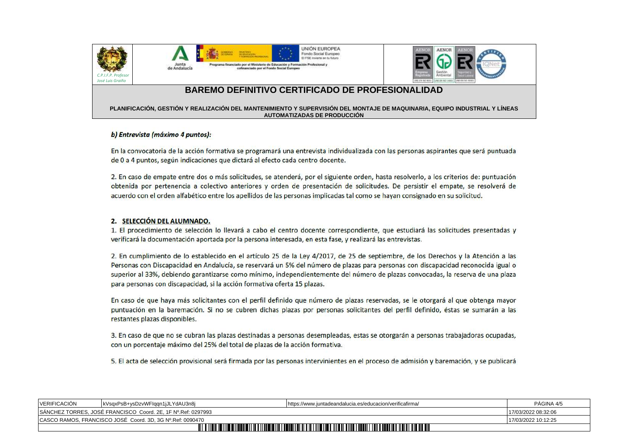







## **BAREMO DEFINITIVO CERTIFICADO DE PROFESIONALIDAD**

### **PLANIFICACIÓN, GESTIÓN Y REALIZACIÓN DEL MANTENIMIENTO Y SUPERVISIÓN DEL MONTAJE DE MAQUINARIA, EQUIPO INDUSTRIAL Y LÍNEAS AUTOMATIZADAS DE PRODUCCIÓN**

### b) Entrevista (máximo 4 puntos):

En la convocatoria de la acción formativa se programará una entrevista individualizada con las personas aspirantes que será puntuada de 0 a 4 puntos, según indicaciones que dictará al efecto cada centro docente.

2. En caso de empate entre dos o más solicitudes, se atenderá, por el siguiente orden, hasta resolverlo, a los criterios de: puntuación obtenida por pertenencia a colectivo anteriores y orden de presentación de solicitudes. De persistir el empate, se resolverá de acuerdo con el orden alfabético entre los apellidos de las personas implicadas tal como se hayan consignado en su solicitud.

### 2. SELECCIÓN DEL ALUMNADO.

1. El procedimiento de selección lo llevará a cabo el centro docente correspondiente, que estudiará las solicitudes presentadas y verificará la documentación aportada por la persona interesada, en esta fase, y realizará las entrevistas.

2. En cumplimiento de lo establecido en el artículo 25 de la Ley 4/2017, de 25 de septiembre, de los Derechos y la Atención a las Personas con Discapacidad en Andalucía, se reservará un 5% del número de plazas para personas con discapacidad reconocida igual o superior al 33%, debiendo garantizarse como mínimo, independientemente del número de plazas convocadas, la reserva de una plaza para personas con discapacidad, si la acción formativa oferta 15 plazas.

En caso de que haya más solicitantes con el perfil definido que número de plazas reservadas, se le otorgará al que obtenga mayor puntuación en la baremación. Si no se cubren dichas plazas por personas solicitantes del perfil definido, éstas se sumarán a las restantes plazas disponibles.

3. En caso de que no se cubran las plazas destinadas a personas desempleadas, estas se otorgarán a personas trabajadoras ocupadas, con un porcentaje máximo del 25% del total de plazas de la acción formativa.

5. El acta de selección provisional será firmada por las personas intervinientes en el proceso de admisión y baremación, y se publicará

| <b>VERIFICACION</b>                                                                                                                                                                   | kVsgxPsB+ysDzvWFlggn1jJLYdAU3n8j | https://www.juntadeandalucia.es/educacion/verificafirma/ | PAGINA 4/5          |
|---------------------------------------------------------------------------------------------------------------------------------------------------------------------------------------|----------------------------------|----------------------------------------------------------|---------------------|
| SANCHEZ TORRES, JOSÉ FRANCISCO Coord. 2E, 1F Nº.Ref: 0297993                                                                                                                          |                                  |                                                          | 17/03/2022 08:32:06 |
| CASCO RAMOS, FRANCISCO JOSÉ Coord. 3D, 3G Nº.Ref: 0090470                                                                                                                             |                                  |                                                          | 17/03/2022 10:12:25 |
| <u> IIII III IIIII IIII IIII IIII</u><br><b>U iliyo katalog asl anal a bayan iliyo katalog asl ang katalog asl ang katalog asl ang katalog asl ang katalog</b><br>TITTITTI<br>11 II I |                                  |                                                          |                     |